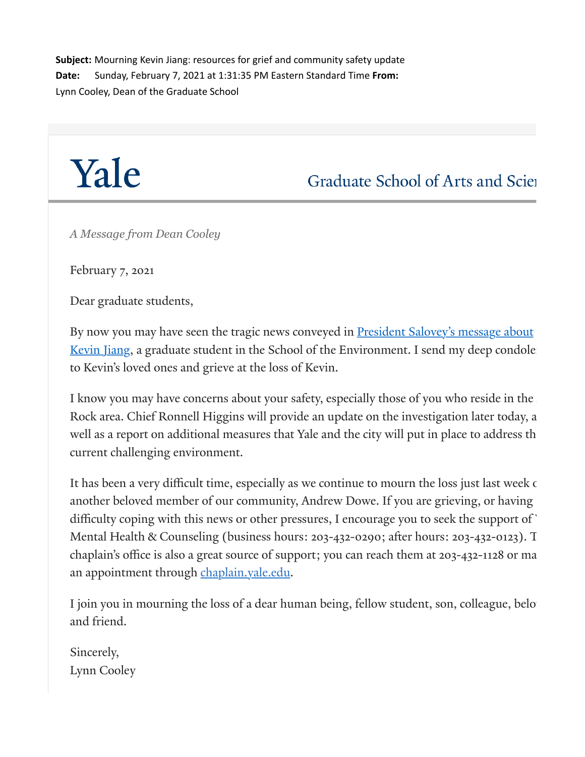**Subject:** Mourning Kevin Jiang: resources for grief and community safety update **Date:** Sunday, February 7, 2021 at 1:31:35 PM Eastern Standard Time **From:** Lynn Cooley, Dean of the Graduate School

## Yale

Graduate School of Arts and Scien

*A Message from Dean Cooley*

February 7, 2021

Dear graduate students,

By now you may have seen the tragic news conveyed in **President Salovey's message about** <u>Kevin Jian</u>g, a graduate student in the School of the Environment. I send my deep condole to Kevin's loved ones and grieve at the loss of Kevin.

I know you may have concerns about your safety, especially those of you who reside in the Rock area. Chief Ronnell Higgins will provide an update on the investigation later today, a well as a report on additional measures that Yale and the city will put in place to address th current challenging environment.

It has been a very difficult time, especially as we continue to mourn the loss just last week of another beloved member of our community, Andrew Dowe. If you are grieving, or having difficulty coping with this news or other pressures, I encourage you to seek the support of Mental Health & Counseling (business hours: 203-432-0290; after hours: 203-432-0123). T chaplain's office is also a great source of support; you can reach them at 203-432-1128 or ma an appointment through [chaplain.yale.edu.](https://click.message.yale.edu/?qs=6655f40fc9311365b074371022091d06d3de2ad17996da785919f655518c11c3573bb69d695f8b59186cec9150df67e6d190cda5d98c0d97a2e02e5e29bc260e)

I join you in mourning the loss of a dear human being, fellow student, son, colleague, belo and friend.

Sincerely, Lynn Cooley